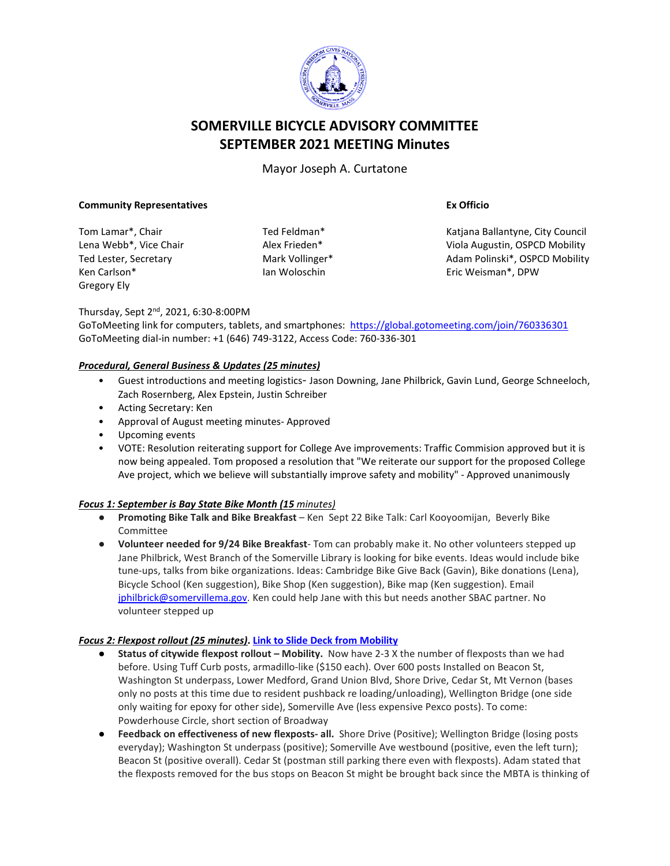

# **SOMERVILLE BICYCLE ADVISORY COMMITTEE SEPTEMBER 2021 MEETING Minutes**

Mayor Joseph A. Curtatone

#### **Community Representatives**

Tom Lamar\*, Chair Lena Webb\*, Vice Chair Ted Lester, Secretary Ken Carlson\* Gregory Ely

Ted Feldman\* Alex Frieden\* Mark Vollinger\* Ian Woloschin

**Ex Officio**

Katjana Ballantyne, City Council Viola Augustin, OSPCD Mobility Adam Polinski\*, OSPCD Mobility Eric Weisman\*, DPW

Thursday, Sept 2nd, 2021, 6:30-8:00PM

GoToMeeting link for computers, tablets, and smartphones: <https://global.gotomeeting.com/join/760336301> GoToMeeting dial-in number: +1 (646) 749-3122, Access Code: 760-336-301

### *Procedural, General Business & Updates (25 minutes)*

- Guest introductions and meeting logistics- Jason Downing, Jane Philbrick, Gavin Lund, George Schneeloch, Zach Rosernberg, Alex Epstein, Justin Schreiber
- Acting Secretary: Ken
- Approval of August meeting minutes- Approved
- Upcoming events
- VOTE: Resolution reiterating support for College Ave improvements: Traffic Commision approved but it is now being appealed. Tom proposed a resolution that "We reiterate our support for the proposed College Ave project, which we believe will substantially improve safety and mobility" - Approved unanimously

### *Focus 1: September is Bay State Bike Month (15 minutes)*

- **Promoting Bike Talk and Bike Breakfast** Ken Sept 22 Bike Talk: Carl Kooyoomijan, Beverly Bike Committee
- **Volunteer needed for 9/24 Bike Breakfast** Tom can probably make it. No other volunteers stepped up Jane Philbrick, West Branch of the Somerville Library is looking for bike events. Ideas would include bike tune-ups, talks from bike organizations. Ideas: Cambridge Bike Give Back (Gavin), Bike donations (Lena), Bicycle School (Ken suggestion), Bike Shop (Ken suggestion), Bike map (Ken suggestion). Email [jphilbrick@somervillema.gov.](mailto:jphilbrick@somervillema.gov) Ken could help Jane with this but needs another SBAC partner. No volunteer stepped up

### *Focus 2: Flexpost rollout (25 minutes)***. [Link to Slide Deck from Mobility](https://app.box.com/s/5n8ke3gs28x3n9ru133plbzu3211zuwu)**

- **Status of citywide flexpost rollout – Mobility.** Now have 2-3 X the number of flexposts than we had before. Using Tuff Curb posts, armadillo-like (\$150 each). Over 600 posts Installed on Beacon St, Washington St underpass, Lower Medford, Grand Union Blvd, Shore Drive, Cedar St, Mt Vernon (bases only no posts at this time due to resident pushback re loading/unloading), Wellington Bridge (one side only waiting for epoxy for other side), Somerville Ave (less expensive Pexco posts). To come: Powderhouse Circle, short section of Broadway
- **Feedback on effectiveness of new flexposts- all.** Shore Drive (Positive); Wellington Bridge (losing posts everyday); Washington St underpass (positive); Somerville Ave westbound (positive, even the left turn); Beacon St (positive overall). Cedar St (postman still parking there even with flexposts). Adam stated that the flexposts removed for the bus stops on Beacon St might be brought back since the MBTA is thinking of